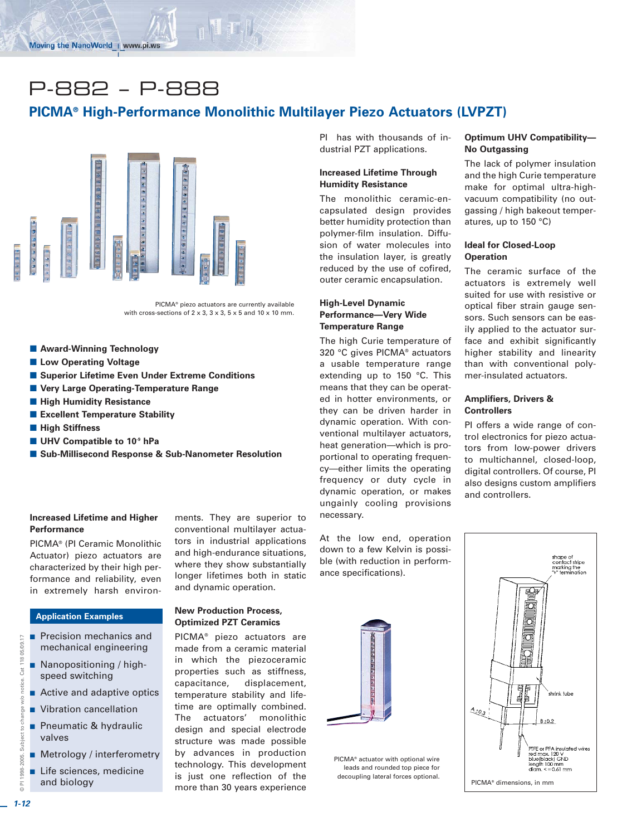# P-882 – P-888

## **PICMA® High-Performance Monolithic Multilayer Piezo Actuators (LVPZT)**



PICMA® piezo actuators are currently available with cross-sections of  $2 \times 3$ ,  $3 \times 3$ ,  $5 \times 5$  and  $10 \times 10$  mm.

- **E** Award-Winning Technology
- **E** Low Operating Voltage
- Superior Lifetime Even Under Extreme Conditions
- **E** Very Large Operating-Temperature Range
- $\blacksquare$  **High Humidity Resistance**
- **Excellent Temperature Stability**
- $\blacksquare$  **High Stiffness**
- UHV Compatible to 10<sup>-9</sup> hPa
- Sub-Millisecond Response & Sub-Nanometer Resolution

#### **Increased Lifetime and Higher Performance**

PICMA® (PI Ceramic Monolithic Actuator) piezo actuators are characterized by their high performance and reliability, even in extremely harsh environ-

#### **Application Examples**

- - Precision mechanics and mechanical engineering
- Nanopositioning / highspeed switching
- **E** Active and adaptive optics
- **No. 22 Vibration cancellation**
- **Pheumatic & hydraulic** valves
- **E** Metrology / interferometry
- - Life sciences, medicine and biology

ments. They are superior to conventional multilayer actuators in industrial applications and high-endurance situations, where they show substantially longer lifetimes both in static and dynamic operation.

#### **New Production Process, Optimized PZT Ceramics**

PICMA® piezo actuators are made from a ceramic material in which the piezoceramic properties such as stiffness, capacitance, displacement, temperature stability and lifetime are optimally combined. The actuators' monolithic design and special electrode structure was made possible by advances in production technology. This development is just one reflection of the more than 30 years experience

PI has with thousands of industrial PZT applications.

#### **Increased Lifetime Through Humidity Resistance**

The monolithic ceramic-encapsulated design provides better humidity protection than polymer-film insulation. Diffusion of water molecules into the insulation layer, is greatly reduced by the use of cofired, outer ceramic encapsulation.

### **High-Level Dynamic Performance—Very Wide Temperature Range**

The high Curie temperature of 320 °C gives PICMA® actuators a usable temperature range extending up to 150 °C. This means that they can be operated in hotter environments, or they can be driven harder in dynamic operation. With conventional multilayer actuators, heat generation—which is proportional to operating frequency—either limits the operating frequency or duty cycle in dynamic operation, or makes ungainly cooling provisions necessary.

At the low end, operation down to a few Kelvin is possible (with reduction in performance specifications).



PICMA® actuator with optional wire leads and rounded top piece for decoupling lateral forces optional.

#### **Optimum UHV Compatibility— No Outgassing**

The lack of polymer insulation and the high Curie temperature make for optimal ultra-highvacuum compatibility (no outgassing / high bakeout temperatures, up to 150 °C)

#### **Ideal for Closed-Loop Operation**

The ceramic surface of the actuators is extremely well suited for use with resistive or optical fiber strain gauge sensors. Such sensors can be easily applied to the actuator surface and exhibit significantly higher stability and linearity than with conventional polymer-insulated actuators.

#### **Amplifiers, Drivers & Controllers**

PI offers a wide range of control electronics for piezo actuators from low-power drivers to multichannel, closed-loop, digital controllers. Of course, PI also designs custom amplifiers and controllers.



© PI 1998-2005. Subject to change w/o notice. Cat 118 05/09.17

Subject to change

1998-2005.

w/o

 $\overline{\phantom{0}}$ 

Cat 118 05/09.